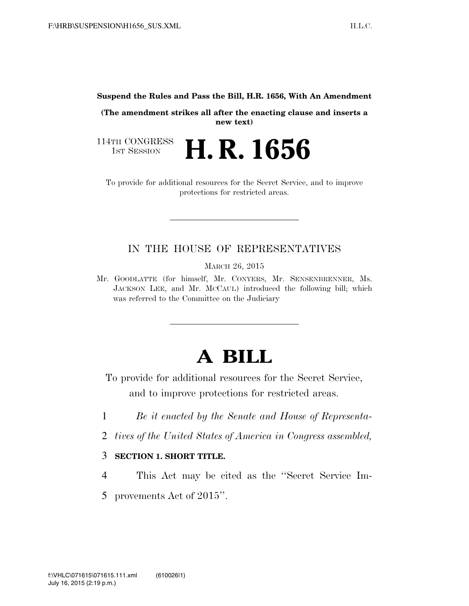**Suspend the Rules and Pass the Bill, H.R. 1656, With An Amendment** 

**(The amendment strikes all after the enacting clause and inserts a new text)** 

114TH CONGRESS<br>1st Session **H. R. 1656** 

To provide for additional resources for the Secret Service, and to improve protections for restricted areas.

# IN THE HOUSE OF REPRESENTATIVES

MARCH 26, 2015

Mr. GOODLATTE (for himself, Mr. CONYERS, Mr. SENSENBRENNER, Ms. JACKSON LEE, and Mr. MCCAUL) introduced the following bill; which was referred to the Committee on the Judiciary

# **A BILL**

To provide for additional resources for the Secret Service, and to improve protections for restricted areas.

- 1 *Be it enacted by the Senate and House of Representa-*
- 2 *tives of the United States of America in Congress assembled,*

#### 3 **SECTION 1. SHORT TITLE.**

- 4 This Act may be cited as the ''Secret Service Im-
- 5 provements Act of 2015''.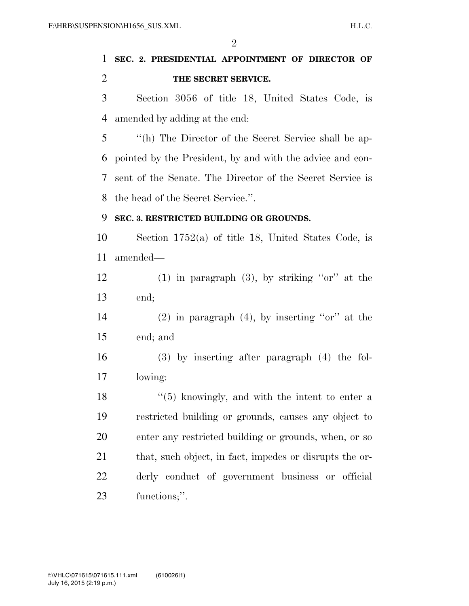$\mathfrak{D}$ 

# **SEC. 2. PRESIDENTIAL APPOINTMENT OF DIRECTOR OF THE SECRET SERVICE.**

 Section 3056 of title 18, United States Code, is amended by adding at the end:

 ''(h) The Director of the Secret Service shall be ap- pointed by the President, by and with the advice and con- sent of the Senate. The Director of the Secret Service is the head of the Secret Service.''.

#### **SEC. 3. RESTRICTED BUILDING OR GROUNDS.**

 Section 1752(a) of title 18, United States Code, is amended—

 (1) in paragraph (3), by striking ''or'' at the end;

 (2) in paragraph (4), by inserting ''or'' at the end; and

 (3) by inserting after paragraph (4) the fol-lowing:

 $\frac{18}{18}$  ''(5) knowingly, and with the intent to enter a restricted building or grounds, causes any object to enter any restricted building or grounds, when, or so that, such object, in fact, impedes or disrupts the or- derly conduct of government business or official functions;''.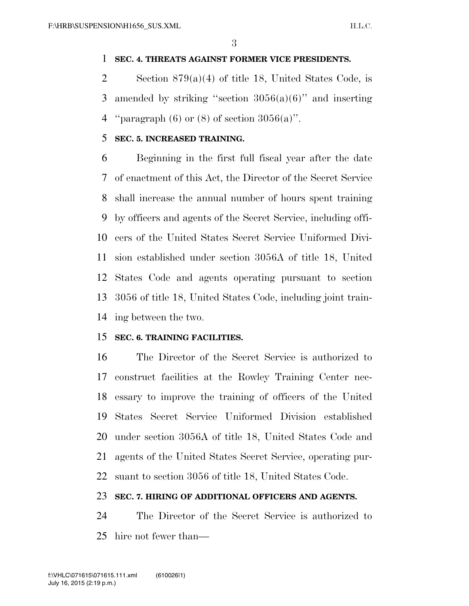## **SEC. 4. THREATS AGAINST FORMER VICE PRESIDENTS.**

 Section 879(a)(4) of title 18, United States Code, is 3 amended by striking "section  $3056(a)(6)$ " and inserting 4 "paragraph  $(6)$  or  $(8)$  of section  $3056(a)$ ".

## **SEC. 5. INCREASED TRAINING.**

 Beginning in the first full fiscal year after the date of enactment of this Act, the Director of the Secret Service shall increase the annual number of hours spent training by officers and agents of the Secret Service, including offi- cers of the United States Secret Service Uniformed Divi- sion established under section 3056A of title 18, United States Code and agents operating pursuant to section 3056 of title 18, United States Code, including joint train-ing between the two.

## **SEC. 6. TRAINING FACILITIES.**

 The Director of the Secret Service is authorized to construct facilities at the Rowley Training Center nec- essary to improve the training of officers of the United States Secret Service Uniformed Division established under section 3056A of title 18, United States Code and agents of the United States Secret Service, operating pur-suant to section 3056 of title 18, United States Code.

## **SEC. 7. HIRING OF ADDITIONAL OFFICERS AND AGENTS.**

 The Director of the Secret Service is authorized to hire not fewer than—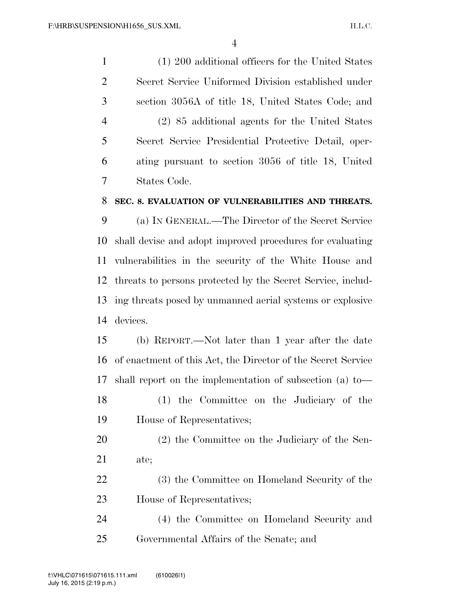(1) 200 additional officers for the United States Secret Service Uniformed Division established under section 3056A of title 18, United States Code; and (2) 85 additional agents for the United States Secret Service Presidential Protective Detail, oper- ating pursuant to section 3056 of title 18, United States Code.

#### **SEC. 8. EVALUATION OF VULNERABILITIES AND THREATS.**

 (a) IN GENERAL.—The Director of the Secret Service shall devise and adopt improved procedures for evaluating vulnerabilities in the security of the White House and threats to persons protected by the Secret Service, includ- ing threats posed by unmanned aerial systems or explosive devices.

 (b) REPORT.—Not later than 1 year after the date of enactment of this Act, the Director of the Secret Service shall report on the implementation of subsection (a) to— (1) the Committee on the Judiciary of the

- House of Representatives;
- (2) the Committee on the Judiciary of the Sen-ate;
- (3) the Committee on Homeland Security of the House of Representatives;
- (4) the Committee on Homeland Security and Governmental Affairs of the Senate; and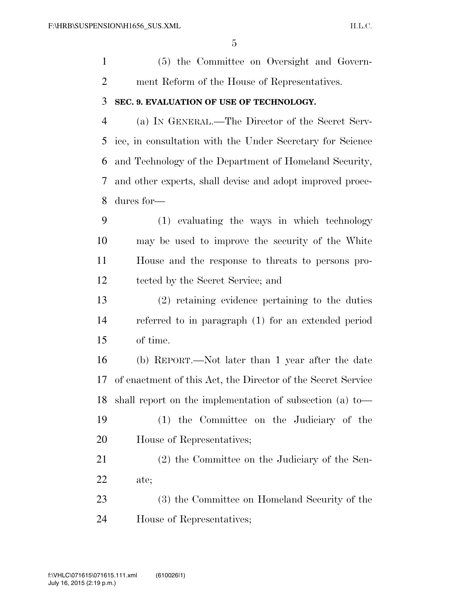| $\mathbf{1}$   | (5) the Committee on Oversight and Govern-                   |
|----------------|--------------------------------------------------------------|
| $\overline{2}$ | ment Reform of the House of Representatives.                 |
| 3              | SEC. 9. EVALUATION OF USE OF TECHNOLOGY.                     |
| $\overline{4}$ | (a) IN GENERAL.—The Director of the Secret Serv-             |
| 5              | ice, in consultation with the Under Secretary for Science    |
| 6              | and Technology of the Department of Homeland Security,       |
| 7              | and other experts, shall devise and adopt improved proce-    |
| 8              | dures for-                                                   |
| 9              | (1) evaluating the ways in which technology                  |
| 10             | may be used to improve the security of the White             |
| 11             | House and the response to threats to persons pro-            |
| 12             | tected by the Secret Service; and                            |
| 13             | $(2)$ retaining evidence pertaining to the duties            |
| 14             | referred to in paragraph (1) for an extended period          |
| 15             | of time.                                                     |
| 16             | (b) REPORT.—Not later than 1 year after the date             |
| 17             | of enactment of this Act, the Director of the Secret Service |
|                | 18 shall report on the implementation of subsection (a) to-  |
| 19             | (1) the Committee on the Judiciary of the                    |
| 20             | House of Representatives;                                    |
| 21             | (2) the Committee on the Judiciary of the Sen-               |
| 22             | ate;                                                         |

 (3) the Committee on Homeland Security of the House of Representatives;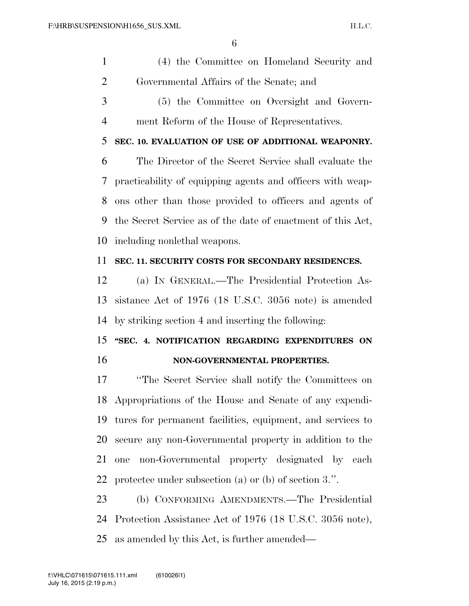|    | (4) the Committee on Homeland Security and |
|----|--------------------------------------------|
|    | Governmental Affairs of the Senate; and    |
| -3 | (5) the Committee on Oversight and Govern- |

ment Reform of the House of Representatives.

## **SEC. 10. EVALUATION OF USE OF ADDITIONAL WEAPONRY.**

 The Director of the Secret Service shall evaluate the practicability of equipping agents and officers with weap- ons other than those provided to officers and agents of the Secret Service as of the date of enactment of this Act, including nonlethal weapons.

#### **SEC. 11. SECURITY COSTS FOR SECONDARY RESIDENCES.**

 (a) IN GENERAL.—The Presidential Protection As- sistance Act of 1976 (18 U.S.C. 3056 note) is amended by striking section 4 and inserting the following:

# **''SEC. 4. NOTIFICATION REGARDING EXPENDITURES ON NON-GOVERNMENTAL PROPERTIES.**

 ''The Secret Service shall notify the Committees on Appropriations of the House and Senate of any expendi- tures for permanent facilities, equipment, and services to secure any non-Governmental property in addition to the one non-Governmental property designated by each protectee under subsection (a) or (b) of section 3.''.

 (b) CONFORMING AMENDMENTS.—The Presidential Protection Assistance Act of 1976 (18 U.S.C. 3056 note), as amended by this Act, is further amended—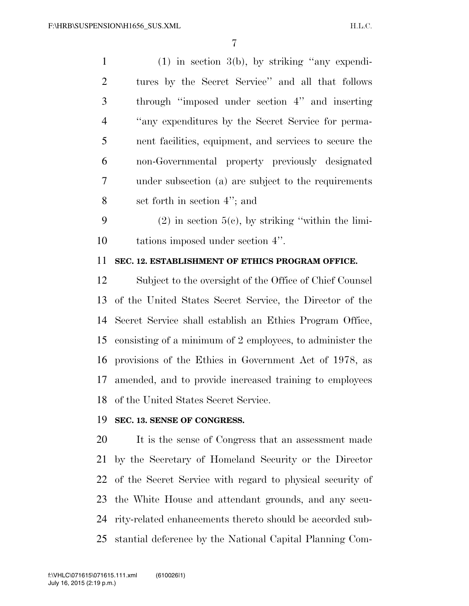(1) in section 3(b), by striking ''any expendi- tures by the Secret Service'' and all that follows through ''imposed under section 4'' and inserting ''any expenditures by the Secret Service for perma- nent facilities, equipment, and services to secure the non-Governmental property previously designated under subsection (a) are subject to the requirements set forth in section 4''; and

9 (2) in section  $5(e)$ , by striking "within the limi-tations imposed under section 4''.

## **SEC. 12. ESTABLISHMENT OF ETHICS PROGRAM OFFICE.**

 Subject to the oversight of the Office of Chief Counsel of the United States Secret Service, the Director of the Secret Service shall establish an Ethics Program Office, consisting of a minimum of 2 employees, to administer the provisions of the Ethics in Government Act of 1978, as amended, and to provide increased training to employees of the United States Secret Service.

#### **SEC. 13. SENSE OF CONGRESS.**

 It is the sense of Congress that an assessment made by the Secretary of Homeland Security or the Director of the Secret Service with regard to physical security of the White House and attendant grounds, and any secu- rity-related enhancements thereto should be accorded sub-stantial deference by the National Capital Planning Com-